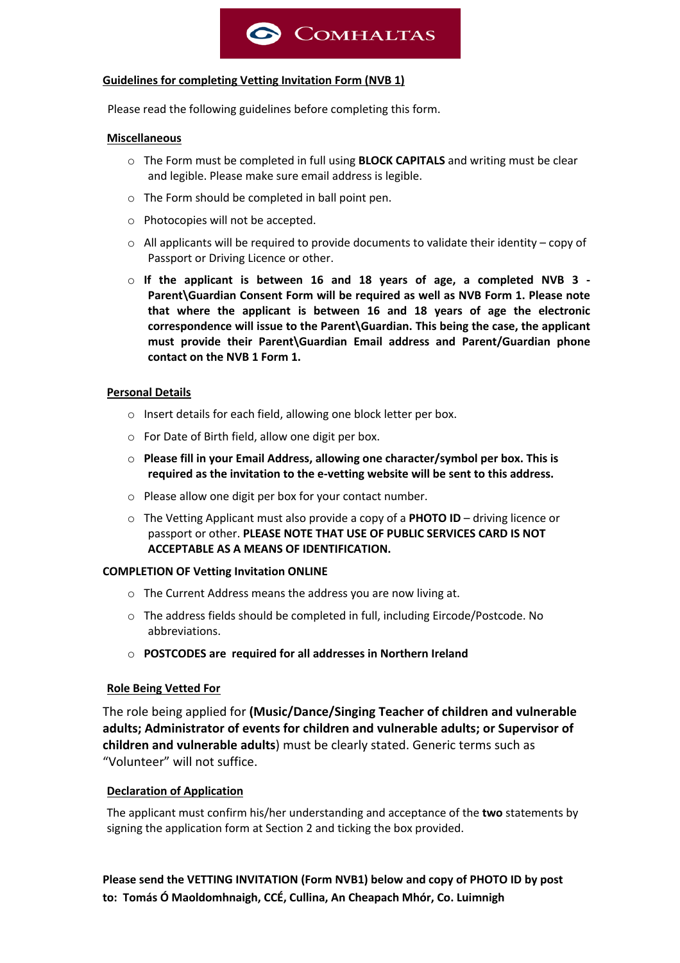

#### **Guidelines for completing Vetting Invitation Form (NVB 1)**

Please read the following guidelines before completing this form.

#### **Miscellaneous**

- o The Form must be completed in full using **BLOCK CAPITALS** and writing must be clear and legible. Please make sure email address is legible.
- o The Form should be completed in ball point pen.
- o Photocopies will not be accepted.
- o All applicants will be required to provide documents to validate their identity copy of Passport or Driving Licence or other.
- o **If the applicant is between 16 and 18 years of age, a completed NVB 3 - Parent\Guardian Consent Form will be required as well as NVB Form 1. Please note that where the applicant is between 16 and 18 years of age the electronic correspondence will issue to the Parent\Guardian. This being the case, the applicant must provide their Parent\Guardian Email address and Parent/Guardian phone contact on the NVB 1 Form 1.**

### **Personal Details**

- o Insert details for each field, allowing one block letter per box.
- o For Date of Birth field, allow one digit per box.
- o **Please fill in your Email Address, allowing one character/symbol per box. This is required as the invitation to the e-vetting website will be sent to this address.**
- o Please allow one digit per box for your contact number.
- o The Vetting Applicant must also provide a copy of a **PHOTO ID** driving licence or passport or other. **PLEASE NOTE THAT USE OF PUBLIC SERVICES CARD IS NOT ACCEPTABLE AS A MEANS OF IDENTIFICATION.**

#### **COMPLETION OF Vetting Invitation ONLINE**

- o The Current Address means the address you are now living at.
- o The address fields should be completed in full, including Eircode/Postcode. No abbreviations.
- o **POSTCODES are required for all addresses in Northern Ireland**

### **Role Being Vetted For**

The role being applied for **(Music/Dance/Singing Teacher of children and vulnerable adults; Administrator of events for children and vulnerable adults; or Supervisor of children and vulnerable adults**) must be clearly stated. Generic terms such as "Volunteer" will not suffice.

### **Declaration of Application**

The applicant must confirm his/her understanding and acceptance of the **two** statements by signing the application form at Section 2 and ticking the box provided.

**Please send the VETTING INVITATION (Form NVB1) below and copy of PHOTO ID by post to: Tomás Ó Maoldomhnaigh, CCÉ, Cullina, An Cheapach Mhór, Co. Luimnigh**